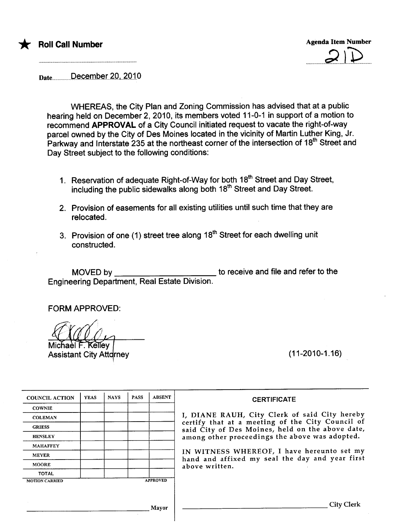



Date...........December 20, 2010

WHEREAS, the City Plan and Zoning Commission has advised that at a public hearing held on December 2,2010, its members voted 11-0-1 in support of a motion to recommend APPROVAL of a City Council initiated request to vacate the right-of-way parcel owned by the City of Des Moines located in the vicinity of Martin Luther King, Jr. Parkway and Interstate 235 at the northeast corner of the intersection of 18<sup>th</sup> Street and Day Street subject to the following conditions:

- 1. Reservation of adequate Right-of-Way for both 18<sup>th</sup> Street and Day Street, including the public sidewalks along both 18<sup>th</sup> Street and Day Street.
- 2. Provision of easements for all existing utilities until such time that they are relocated.
- 3. Provision of one (1) street tree along  $18<sup>th</sup>$  Street for each dwelling unit constructed.

MOVED by \_\_\_\_\_\_\_\_\_\_\_\_\_\_\_\_\_\_\_\_\_\_\_\_\_\_\_\_\_\_\_ to receive and file and refer to the Engineering Department, Real Estate Division.

FORM APPROVED:

Kellev

**Assistant City Attdrney** 

(11-2010-1.16)

| <b>COUNCIL ACTION</b> | <b>YEAS</b> | <b>NAYS</b> | <b>PASS</b> | <b>ABSENT</b>   |
|-----------------------|-------------|-------------|-------------|-----------------|
| <b>COWNIE</b>         |             |             |             |                 |
| <b>COLEMAN</b>        |             |             |             |                 |
| <b>GRIESS</b>         |             |             |             |                 |
| <b>HENSLEY</b>        |             |             |             |                 |
| <b>MAHAFFEY</b>       |             |             |             |                 |
| <b>MEYER</b>          |             |             |             |                 |
| <b>MOORE</b>          |             |             |             |                 |
| <b>TOTAL</b>          |             |             |             |                 |
| <b>MOTION CARRIED</b> |             |             |             | <b>APPROVED</b> |

#### **CERTIFICATE**

I, DIANE RAUH, City Clerk of said City hereby certify that at a meeting of the City Council of said City of Des Moines, held on the above date, among other proceedings the above was adopted.

IN WITNESS WHEREOF, I have hereunto set my hand and affixed my seal the day and year first above written.

Mayor City Clerk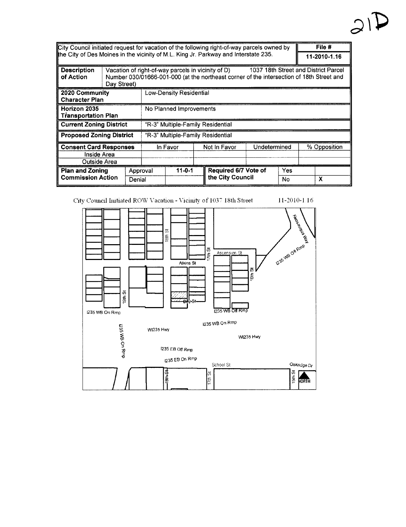| City Council initiated request for vacation of the following right-of-way parcels owned by |                                              |                                   |                                |                                                    |  |                                                                                          |              |     |              | File #                               |
|--------------------------------------------------------------------------------------------|----------------------------------------------|-----------------------------------|--------------------------------|----------------------------------------------------|--|------------------------------------------------------------------------------------------|--------------|-----|--------------|--------------------------------------|
| the City of Des Moines in the vicinity of M.L. King Jr. Parkway and Interstate 235.        |                                              |                                   |                                |                                                    |  |                                                                                          |              |     |              | 11-2010-1.16                         |
| <b>Description</b><br>of Action                                                            | Day Street)                                  |                                   |                                | Vacation of right-of-way parcels in vicinity of D) |  | Number 030/01666-001-000 (at the northeast corner of the intersection of 18th Street and |              |     |              | 1037 18th Street and District Parcel |
| 2020 Community<br><b>Character Plan</b>                                                    |                                              |                                   | <b>Low-Density Residential</b> |                                                    |  |                                                                                          |              |     |              |                                      |
| Horizon 2035<br><b>Transportation Plan</b>                                                 |                                              |                                   | No Planned Improvements        |                                                    |  |                                                                                          |              |     |              |                                      |
| <b>Current Zoning District</b>                                                             |                                              | "R-3" Multiple-Family Residential |                                |                                                    |  |                                                                                          |              |     |              |                                      |
| <b>Proposed Zoning District</b>                                                            |                                              | "R-3" Multiple-Family Residential |                                |                                                    |  |                                                                                          |              |     |              |                                      |
|                                                                                            | <b>Consent Card Responses</b><br>Inside Area |                                   | In Favor                       |                                                    |  | Not in Favor                                                                             | Undetermined |     | % Opposition |                                      |
| Outside Area                                                                               |                                              |                                   |                                |                                                    |  |                                                                                          |              |     |              |                                      |
| <b>Plan and Zoning</b>                                                                     |                                              | Approval                          |                                | $11 - 0 - 1$                                       |  | Required 6/7 Vote of                                                                     |              | Yes |              |                                      |
| <b>Commission Action</b>                                                                   |                                              | Denial                            |                                |                                                    |  | the City Council                                                                         |              | No. |              | X                                    |

11-2010-1.16

City Council Initiated ROW Vacation - Vicinity of 1037 18th Street

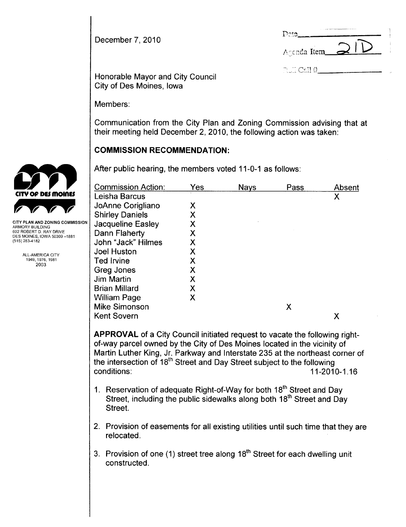December 7, 2010

| Dote,                                                 |               |
|-------------------------------------------------------|---------------|
| Agenda Item                                           | $\rightarrow$ |
| $\mathbb{R}$ of $\mathbb{C}\mathrm{all}\ \mathcal{V}$ |               |

Honorable Mayor and City Council City of Des Moines, Iowa

Members:

Communication from the City Plan and Zoning Commission advising that at their meeting held December 2, 2010, the following action was taken:

# COMMISSION RECOMMENDATION:

|                                                                                                                           | After public hearing, the members voted 11-0-1 as follows: |     |             |      |        |
|---------------------------------------------------------------------------------------------------------------------------|------------------------------------------------------------|-----|-------------|------|--------|
|                                                                                                                           | <b>Commission Action:</b>                                  | Yes | <b>Nays</b> | Pass | Absent |
| CITY OF DES MOINES                                                                                                        | Leisha Barcus                                              |     |             |      | Χ      |
|                                                                                                                           | JoAnne Corigliano                                          | X   |             |      |        |
|                                                                                                                           | <b>Shirley Daniels</b>                                     | X   |             |      |        |
| CITY PLAN AND ZONING COMMISSION<br>ARMORY BUILDING                                                                        | Jacqueline Easley                                          | Χ   |             |      |        |
| 602 ROBERT D. RAY DRIVE<br>DES MOINES, IOWA 50309 -1881<br>(515) 283-4182<br>ALL-AMERICA CITY<br>1949, 1976, 1981<br>2003 | Dann Flaherty                                              | Χ   |             |      |        |
|                                                                                                                           | John "Jack" Hilmes                                         | Χ   |             |      |        |
|                                                                                                                           | <b>Joel Huston</b>                                         | Χ   |             |      |        |
|                                                                                                                           | <b>Ted Irvine</b>                                          | Х   |             |      |        |
|                                                                                                                           | Greg Jones                                                 | Χ   |             |      |        |
|                                                                                                                           | <b>Jim Martin</b>                                          | Χ   |             |      |        |
|                                                                                                                           | <b>Brian Millard</b>                                       | X   |             |      |        |
|                                                                                                                           | William Page                                               | X   |             |      |        |
|                                                                                                                           | <b>Mike Simonson</b>                                       |     |             | X    |        |
|                                                                                                                           | <b>Kent Sovern</b>                                         |     |             |      | Χ      |
|                                                                                                                           |                                                            |     |             |      |        |

APPROVAL of a City Council initiated request to vacate the following rightof-way parcel owned by the City of Des Moines located in the vicinity of Martin Luther King, Jr. Parkway and Interstate 235 at the northeast corner of the intersection of 18<sup>th</sup> Street and Day Street subject to the following conditions: 11-2010-1.16

- 1. Reservation of adequate Right-of-Way for both 18<sup>th</sup> Street and Day Street, including the public sidewalks along both 18<sup>th</sup> Street and Day Street.
- 2. Provision of easements for all existing utilities until such time that they are relocated.
- 3. Provision of one (1) street tree along  $18<sup>th</sup>$  Street for each dwelling unit constructed.

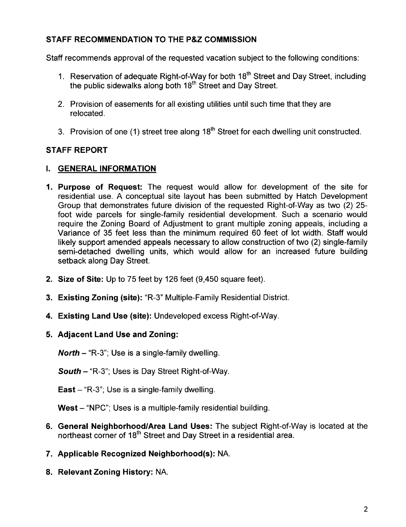# STAFF RECOMMENDATION TO THE P&Z COMMISSION

Staff recommends approval of the requested vacation subject to the following conditions:

- 1. Reservation of adequate Right-of-Way for both 18<sup>th</sup> Street and Day Street, including the public sidewalks along both 18<sup>th</sup> Street and Day Street.
- 2. Provision of easements for all existing utilities until such time that they are relocated.
- 3. Provision of one (1) street tree along 18<sup>th</sup> Street for each dwelling unit constructed.

# STAFF REPORT

#### i. GENERAL INFORMATION

- 1. Purpose of Request: The request would allow for development of the site for residential use. A conceptual site layout has been submitted by Hatch Development Group that demonstrates future division of the requested Right-of-Way as two (2) 25 foot wide parcels for single-family residential development. Such a scenario would require the Zoning Board of Adjustment to grant multiple zoning appeals, including a Variance of 35 feet less than the minimum required 60 feet of lot width. Staff would likely support amended appeals necessary to allow construction of two (2) single-family semi-detached dwelling units, which would allow for an increased future building setback along Day Street.
- 2. Size of Site: Up to 75 feet by 126 feet (9,450 square feet).
- 3. Existing Zoning (site): "R-3" Multiple-Family Residential District.
- 4. Existing Land Use (site): Undeveloped excess Right-of-Way.
- 5. Adjacent Land Use and Zoning:

**North** – "R-3"; Use is a single-family dwelling.

South - "R-3"; Uses is Day Street Right-of-Way.

East  $-$  "R-3"; Use is a single-family dwelling.

West - "NPC"; Uses is a multiple-family residential building.

- 6. General Neighborhood/Area Land Uses: The subject Right-of-Way is located at the northeast corner of 18<sup>th</sup> Street and Day Street in a residential area.
- 7. Applicable Recognized Neighborhood(s): NA.
- 8. Relevant Zoning History: NA.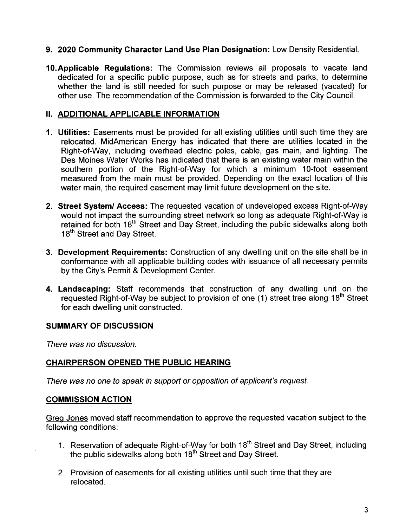## 9. 2020 Community Character Land Use Plan Designation: Low Density ResidentiaL.

10.Applicable Regulations: The Commission reviews all proposals to vacate land dedicated for a specific public purpose, such as for streets and parks, to determine whether the land is still needed for such purpose or may be released (vacated) for other use. The recommendation of the Commission is forwarded to the City CounciL.

### II. ADDITIONAL APPLICABLE INFORMATION

- 1. Utilties: Easements must be provided for all existing utilities until such time they are relocated. MidAmerican Energy has indicated that there are utilities located in the Right-of-Way, including overhead electric poles, cable, gas main, and lighting. The Des Moines Water Works has indicated that there is an existing water main within the southern portion of the Right-of-Way for which a minimum 10-foot easement measured from the main must be provided. Depending on the exact location of this water main, the required easement may limit future development on the site.
- 2. Street System/ Access: The requested vacation of undeveloped excess Right-of-Way would not impact the surrounding street network so long as adequate Right-of-Way is retained for both 18<sup>th</sup> Street and Day Street, including the public sidewalks along both 18<sup>th</sup> Street and Day Street.
- 3. Development Requirements: Construction of any dwelling unit on the site shall be in conformance with all applicable building codes with issuance of all necessary permits by the City's Permit & Development Center.
- 4. Landscaping: Staff recommends that construction of any dwelling unit on the requested Right-of-Way be subject to provision of one (1) street tree along 18<sup>th</sup> Street for each dwelling unit constructed.

## SUMMARY OF DISCUSSION

There was no discussion.

## CHAIRPERSON OPENED THE PUBLIC HEARING

There was no one to speak in support or opposition of applicant's request.

#### COMMISSION ACTION

Greq Jones moved staff recommendation to approve the requested vacation subject to the following conditions:

- 1. Reservation of adequate Right-of-Way for both 18<sup>th</sup> Street and Day Street, including the public sidewalks along both 18<sup>th</sup> Street and Day Street.
- 2. Provision of easements for all existing utilities until such time that they are relocated.